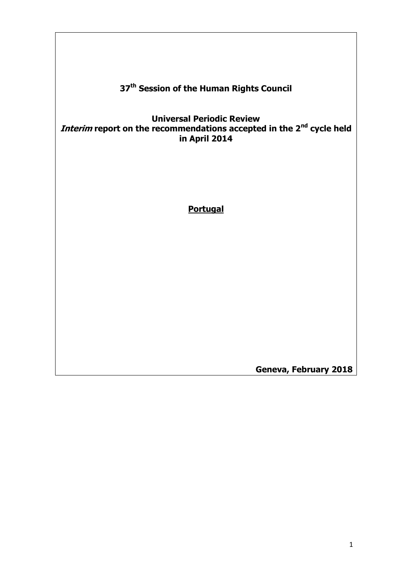# **37th Session of the Human Rights Council**

#### **Universal Periodic Review Interim report on the recommendations accepted in the 2nd cycle held in April 2014**

#### **Portugal**

**Geneva, February 2018**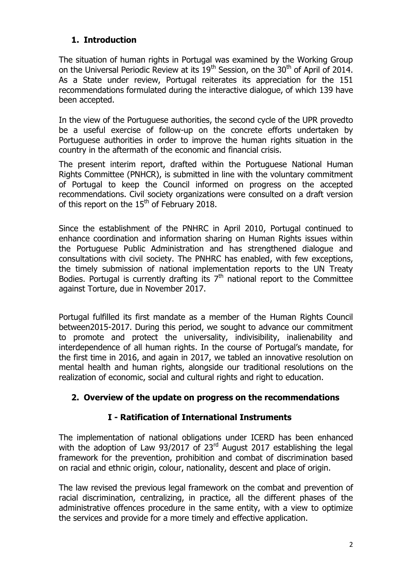## **1. Introduction**

The situation of human rights in Portugal was examined by the Working Group on the Universal Periodic Review at its  $19<sup>th</sup>$  Session, on the  $30<sup>th</sup>$  of April of 2014. As a State under review, Portugal reiterates its appreciation for the 151 recommendations formulated during the interactive dialogue, of which 139 have been accepted.

In the view of the Portuguese authorities, the second cycle of the UPR provedto be a useful exercise of follow-up on the concrete efforts undertaken by Portuguese authorities in order to improve the human rights situation in the country in the aftermath of the economic and financial crisis.

The present interim report, drafted within the Portuguese National Human Rights Committee (PNHCR), is submitted in line with the voluntary commitment of Portugal to keep the Council informed on progress on the accepted recommendations. Civil society organizations were consulted on a draft version of this report on the  $15<sup>th</sup>$  of February 2018.

Since the establishment of the PNHRC in April 2010, Portugal continued to enhance coordination and information sharing on Human Rights issues within the Portuguese Public Administration and has strengthened dialogue and consultations with civil society. The PNHRC has enabled, with few exceptions, the timely submission of national implementation reports to the UN Treaty Bodies. Portugal is currently drafting its  $7<sup>th</sup>$  national report to the Committee against Torture, due in November 2017.

Portugal fulfilled its first mandate as a member of the Human Rights Council between2015-2017. During this period, we sought to advance our commitment to promote and protect the universality, indivisibility, inalienability and interdependence of all human rights. In the course of Portugal's mandate, for the first time in 2016, and again in 2017, we tabled an innovative resolution on mental health and human rights, alongside our traditional resolutions on the realization of economic, social and cultural rights and right to education.

## **2. Overview of the update on progress on the recommendations**

## **I - Ratification of International Instruments**

The implementation of national obligations under ICERD has been enhanced with the adoption of Law 93/2017 of 23<sup>rd</sup> August 2017 establishing the legal framework for the prevention, prohibition and combat of discrimination based on racial and ethnic origin, colour, nationality, descent and place of origin.

The law revised the previous legal framework on the combat and prevention of racial discrimination, centralizing, in practice, all the different phases of the administrative offences procedure in the same entity, with a view to optimize the services and provide for a more timely and effective application.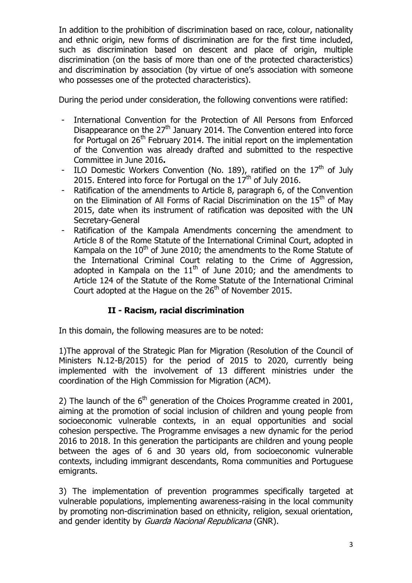In addition to the prohibition of discrimination based on race, colour, nationality and ethnic origin, new forms of discrimination are for the first time included, such as discrimination based on descent and place of origin, multiple discrimination (on the basis of more than one of the protected characteristics) and discrimination by association (by virtue of one's association with someone who possesses one of the protected characteristics).

During the period under consideration, the following conventions were ratified:

- International Convention for the Protection of All Persons from Enforced Disappearance on the  $27<sup>th</sup>$  January 2014. The Convention entered into force for Portugal on  $26<sup>th</sup>$  February 2014. The initial report on the implementation of the Convention was already drafted and submitted to the respective Committee in June 2016**.**
- ILO Domestic Workers Convention (No. 189), ratified on the  $17<sup>th</sup>$  of July 2015. Entered into force for Portugal on the  $17<sup>th</sup>$  of July 2016.
- Ratification of the amendments to Article 8, paragraph 6, of the Convention on the Elimination of All Forms of Racial Discrimination on the 15<sup>th</sup> of May 2015, date when its instrument of ratification was deposited with the UN Secretary-General
- Ratification of the Kampala Amendments concerning the amendment to Article 8 of the Rome Statute of the International Criminal Court, adopted in Kampala on the  $10<sup>th</sup>$  of June 2010; the amendments to the Rome Statute of the International Criminal Court relating to the Crime of Aggression, adopted in Kampala on the  $11<sup>th</sup>$  of June 2010; and the amendments to Article 124 of the Statute of the Rome Statute of the International Criminal Court adopted at the Hague on the  $26<sup>th</sup>$  of November 2015.

## **II - Racism, racial discrimination**

In this domain, the following measures are to be noted:

1)The approval of the Strategic Plan for Migration (Resolution of the Council of Ministers N.12-B/2015) for the period of 2015 to 2020, currently being implemented with the involvement of 13 different ministries under the coordination of the High Commission for Migration (ACM).

2) The launch of the  $6<sup>th</sup>$  generation of the Choices Programme created in 2001, aiming at the promotion of social inclusion of children and young people from socioeconomic vulnerable contexts, in an equal opportunities and social cohesion perspective. The Programme envisages a new dynamic for the period 2016 to 2018. In this generation the participants are children and young people between the ages of 6 and 30 years old, from socioeconomic vulnerable contexts, including immigrant descendants, Roma communities and Portuguese emigrants.

3) The implementation of prevention programmes specifically targeted at vulnerable populations, implementing awareness-raising in the local community by promoting non-discrimination based on ethnicity, religion, sexual orientation, and gender identity by Guarda Nacional Republicana (GNR).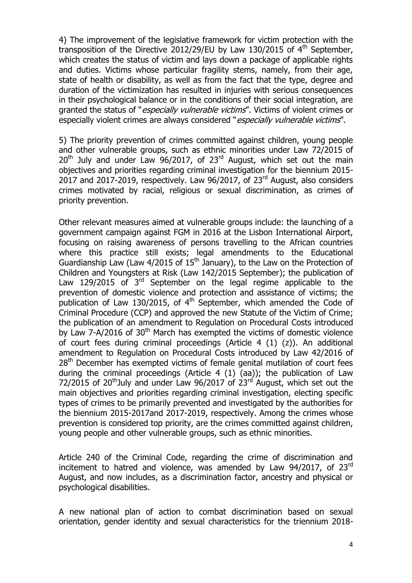4) The improvement of the legislative framework for victim protection with the transposition of the Directive 2012/29/EU by Law 130/2015 of  $4<sup>th</sup>$  September, which creates the status of victim and lays down a package of applicable rights and duties. Victims whose particular fragility stems, namely, from their age, state of health or disability, as well as from the fact that the type, degree and duration of the victimization has resulted in injuries with serious consequences in their psychological balance or in the conditions of their social integration, are granted the status of "*especially vulnerable victims*". Victims of violent crimes or especially violent crimes are always considered "especially vulnerable victims".

5) The priority prevention of crimes committed against children, young people and other vulnerable groups, such as ethnic minorities under Law 72/2015 of  $20<sup>th</sup>$  July and under Law 96/2017, of 23<sup>rd</sup> August, which set out the main objectives and priorities regarding criminal investigation for the biennium 2015- 2017 and 2017-2019, respectively. Law  $96/2017$ , of 23<sup>rd</sup> August, also considers crimes motivated by racial, religious or sexual discrimination, as crimes of priority prevention.

Other relevant measures aimed at vulnerable groups include: the launching of a government campaign against FGM in 2016 at the Lisbon International Airport, focusing on raising awareness of persons travelling to the African countries where this practice still exists; legal amendments to the Educational Guardianship Law (Law  $4/2015$  of  $15<sup>th</sup>$  January), to the Law on the Protection of Children and Youngsters at Risk (Law 142/2015 September); the publication of Law 129/2015 of  $3<sup>rd</sup>$  September on the legal regime applicable to the prevention of domestic violence and protection and assistance of victims; the publication of Law 130/2015, of  $4<sup>th</sup>$  September, which amended the Code of Criminal Procedure (CCP) and approved the new Statute of the Victim of Crime; the publication of an amendment to Regulation on Procedural Costs introduced by Law 7-A/2016 of 30<sup>th</sup> March has exempted the victims of domestic violence of court fees during criminal proceedings (Article 4 (1) (z)). An additional amendment to Regulation on Procedural Costs introduced by Law 42/2016 of 28<sup>th</sup> December has exempted victims of female genital mutilation of court fees during the criminal proceedings (Article 4 (1) (aa)); the publication of Law  $72/2015$  of 20<sup>th</sup>July and under Law 96/2017 of 23<sup>rd</sup> August, which set out the main objectives and priorities regarding criminal investigation, electing specific types of crimes to be primarily prevented and investigated by the authorities for the biennium 2015-2017and 2017-2019, respectively. Among the crimes whose prevention is considered top priority, are the crimes committed against children, young people and other vulnerable groups, such as ethnic minorities.

Article 240 of the Criminal Code, regarding the crime of discrimination and incitement to hatred and violence, was amended by Law  $94/2017$ , of  $23<sup>rd</sup>$ August, and now includes, as a discrimination factor, ancestry and physical or psychological disabilities.

A new national plan of action to combat discrimination based on sexual orientation, gender identity and sexual characteristics for the triennium 2018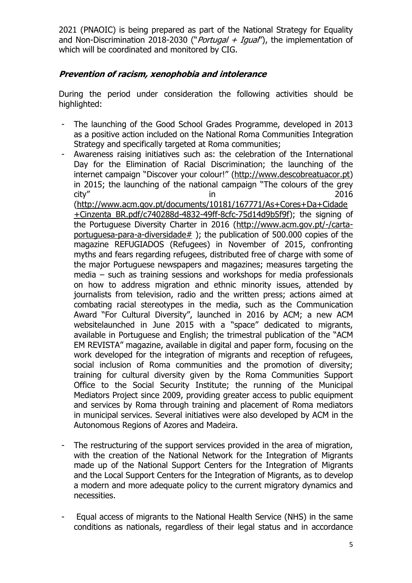2021 (PNAOIC) is being prepared as part of the National Strategy for Equality and Non-Discrimination 2018-2030 ("*Portugal + Igual*"), the implementation of which will be coordinated and monitored by CIG.

## **Prevention of racism, xenophobia and intolerance**

During the period under consideration the following activities should be highlighted:

- The launching of the Good School Grades Programme, developed in 2013 as a positive action included on the National Roma Communities Integration Strategy and specifically targeted at Roma communities;
- Awareness raising initiatives such as: the celebration of the International Day for the Elimination of Racial Discrimination; the launching of the internet campaign "Discover your colour!" [\(http://www.descobreatuacor.pt\)](http://www.descobreatuacor.pt/) in 2015; the launching of the national campaign "The colours of the grey city" in 2016 [\(http://www.acm.gov.pt/documents/10181/167771/As+Cores+Da+Cidade](http://www.acm.gov.pt/documents/10181/167771/As+Cores+Da+Cidade+Cinzenta_BR.pdf/c740288d-4832-49ff-8cfc-75d14d9b5f9f) [+Cinzenta\\_BR.pdf/c740288d-4832-49ff-8cfc-75d14d9b5f9f\)](http://www.acm.gov.pt/documents/10181/167771/As+Cores+Da+Cidade+Cinzenta_BR.pdf/c740288d-4832-49ff-8cfc-75d14d9b5f9f); the signing of the Portuguese Diversity Charter in 2016 [\(http://www.acm.gov.pt/-/carta](http://www.acm.gov.pt/-/carta-portuguesa-para-a-diversidade)[portuguesa-para-a-diversidade#](http://www.acm.gov.pt/-/carta-portuguesa-para-a-diversidade) ); the publication of 500.000 copies of the magazine REFUGIADOS (Refugees) in November of 2015, confronting myths and fears regarding refugees, distributed free of charge with some of the major Portuguese newspapers and magazines; measures targeting the media – such as training sessions and workshops for media professionals on how to address migration and ethnic minority issues, attended by journalists from television, radio and the written press; actions aimed at combating racial stereotypes in the media, such as the Communication Award "For Cultural Diversity", launched in 2016 by ACM; a new ACM websitelaunched in June 2015 with a "space" dedicated to migrants, available in Portuguese and English; the trimestral publication of the "ACM EM REVISTA" magazine, available in digital and paper form, focusing on the work developed for the integration of migrants and reception of refugees, social inclusion of Roma communities and the promotion of diversity; training for cultural diversity given by the Roma Communities Support Office to the Social Security Institute; the running of the Municipal Mediators Project since 2009, providing greater access to public equipment and services by Roma through training and placement of Roma mediators in municipal services. Several initiatives were also developed by ACM in the Autonomous Regions of Azores and Madeira.
- The restructuring of the support services provided in the area of migration, with the creation of the National Network for the Integration of Migrants made up of the National Support Centers for the Integration of Migrants and the Local Support Centers for the Integration of Migrants, as to develop a modern and more adequate policy to the current migratory dynamics and necessities.
- Equal access of migrants to the National Health Service (NHS) in the same conditions as nationals, regardless of their legal status and in accordance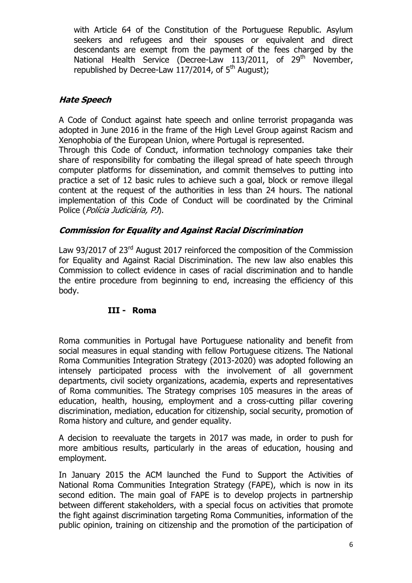with Article 64 of the Constitution of the Portuguese Republic. Asylum seekers and refugees and their spouses or equivalent and direct descendants are exempt from the payment of the fees charged by the National Health Service (Decree-Law 113/2011, of  $29<sup>th</sup>$  November, republished by Decree-Law  $117/2014$ , of  $5<sup>th</sup>$  August);

### **Hate Speech**

A Code of Conduct against hate speech and online terrorist propaganda was adopted in June 2016 in the frame of the High Level Group against Racism and Xenophobia of the European Union, where Portugal is represented.

Through this Code of Conduct, information technology companies take their share of responsibility for combating the illegal spread of hate speech through computer platforms for dissemination, and commit themselves to putting into practice a set of 12 basic rules to achieve such a goal, block or remove illegal content at the request of the authorities in less than 24 hours. The national implementation of this Code of Conduct will be coordinated by the Criminal Police (Polícia Judiciária, PJ).

#### **Commission for Equality and Against Racial Discrimination**

Law 93/2017 of 23<sup>rd</sup> August 2017 reinforced the composition of the Commission for Equality and Against Racial Discrimination. The new law also enables this Commission to collect evidence in cases of racial discrimination and to handle the entire procedure from beginning to end, increasing the efficiency of this body.

#### **III - Roma**

Roma communities in Portugal have Portuguese nationality and benefit from social measures in equal standing with fellow Portuguese citizens. The National Roma Communities Integration Strategy (2013-2020) was adopted following an intensely participated process with the involvement of all government departments, civil society organizations, academia, experts and representatives of Roma communities. The Strategy comprises 105 measures in the areas of education, health, housing, employment and a cross-cutting pillar covering discrimination, mediation, education for citizenship, social security, promotion of Roma history and culture, and gender equality.

A decision to reevaluate the targets in 2017 was made, in order to push for more ambitious results, particularly in the areas of education, housing and employment.

In January 2015 the ACM launched the Fund to Support the Activities of National Roma Communities Integration Strategy (FAPE), which is now in its second edition. The main goal of FAPE is to develop projects in partnership between different stakeholders, with a special focus on activities that promote the fight against discrimination targeting Roma Communities, information of the public opinion, training on citizenship and the promotion of the participation of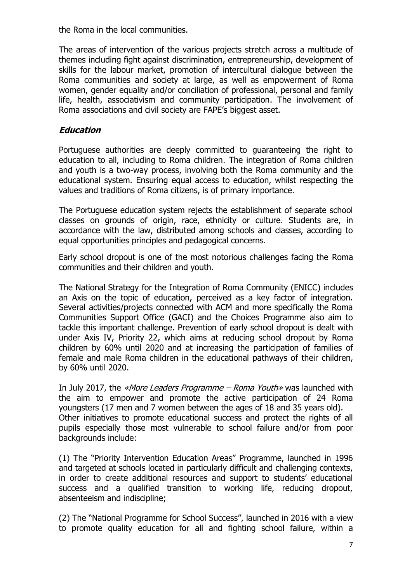the Roma in the local communities.

The areas of intervention of the various projects stretch across a multitude of themes including fight against discrimination, entrepreneurship, development of skills for the labour market, promotion of intercultural dialogue between the Roma communities and society at large, as well as empowerment of Roma women, gender equality and/or conciliation of professional, personal and family life, health, associativism and community participation. The involvement of Roma associations and civil society are FAPE's biggest asset.

#### **Education**

Portuguese authorities are deeply committed to guaranteeing the right to education to all, including to Roma children. The integration of Roma children and youth is a two-way process, involving both the Roma community and the educational system. Ensuring equal access to education, whilst respecting the values and traditions of Roma citizens, is of primary importance.

The Portuguese education system rejects the establishment of separate school classes on grounds of origin, race, ethnicity or culture. Students are, in accordance with the law, distributed among schools and classes, according to equal opportunities principles and pedagogical concerns.

Early school dropout is one of the most notorious challenges facing the Roma communities and their children and youth.

The National Strategy for the Integration of Roma Community (ENICC) includes an Axis on the topic of education, perceived as a key factor of integration. Several activities/projects connected with ACM and more specifically the Roma Communities Support Office (GACI) and the Choices Programme also aim to tackle this important challenge. Prevention of early school dropout is dealt with under Axis IV, Priority 22, which aims at reducing school dropout by Roma children by 60% until 2020 and at increasing the participation of families of female and male Roma children in the educational pathways of their children, by 60% until 2020.

In July 2017, the «More Leaders Programme – Roma Youth» was launched with the aim to empower and promote the active participation of 24 Roma youngsters (17 men and 7 women between the ages of 18 and 35 years old). Other initiatives to promote educational success and protect the rights of all pupils especially those most vulnerable to school failure and/or from poor backgrounds include:

(1) The "Priority Intervention Education Areas" Programme, launched in 1996 and targeted at schools located in particularly difficult and challenging contexts, in order to create additional resources and support to students' educational success and a qualified transition to working life, reducing dropout, absenteeism and indiscipline;

(2) The "National Programme for School Success", launched in 2016 with a view to promote quality education for all and fighting school failure, within a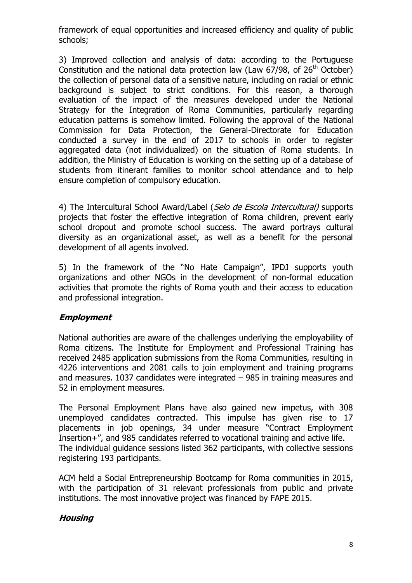framework of equal opportunities and increased efficiency and quality of public schools;

3) Improved collection and analysis of data: according to the Portuguese Constitution and the national data protection law (Law  $67/98$ , of  $26<sup>th</sup>$  October) the collection of personal data of a sensitive nature, including on racial or ethnic background is subject to strict conditions. For this reason, a thorough evaluation of the impact of the measures developed under the National Strategy for the Integration of Roma Communities, particularly regarding education patterns is somehow limited. Following the approval of the National Commission for Data Protection, the General-Directorate for Education conducted a survey in the end of 2017 to schools in order to register aggregated data (not individualized) on the situation of Roma students. In addition, the Ministry of Education is working on the setting up of a database of students from itinerant families to monitor school attendance and to help ensure completion of compulsory education.

4) The Intercultural School Award/Label (Selo de Escola Intercultural) supports projects that foster the effective integration of Roma children, prevent early school dropout and promote school success. The award portrays cultural diversity as an organizational asset, as well as a benefit for the personal development of all agents involved.

5) In the framework of the "No Hate Campaign", IPDJ supports youth organizations and other NGOs in the development of non-formal education activities that promote the rights of Roma youth and their access to education and professional integration.

## **Employment**

National authorities are aware of the challenges underlying the employability of Roma citizens. The Institute for Employment and Professional Training has received 2485 application submissions from the Roma Communities, resulting in 4226 interventions and 2081 calls to join employment and training programs and measures. 1037 candidates were integrated – 985 in training measures and 52 in employment measures.

The Personal Employment Plans have also gained new impetus, with 308 unemployed candidates contracted. This impulse has given rise to 17 placements in job openings, 34 under measure "Contract Employment Insertion+", and 985 candidates referred to vocational training and active life. The individual guidance sessions listed 362 participants, with collective sessions registering 193 participants.

ACM held a Social Entrepreneurship Bootcamp for Roma communities in 2015, with the participation of 31 relevant professionals from public and private institutions. The most innovative project was financed by FAPE 2015.

#### **Housing**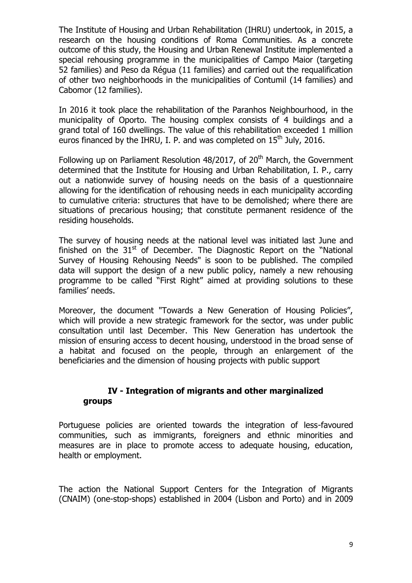The Institute of Housing and Urban Rehabilitation (IHRU) undertook, in 2015, a research on the housing conditions of Roma Communities. As a concrete outcome of this study, the Housing and Urban Renewal Institute implemented a special rehousing programme in the municipalities of Campo Maior (targeting 52 families) and Peso da Régua (11 families) and carried out the requalification of other two neighborhoods in the municipalities of Contumil (14 families) and Cabomor (12 families).

In 2016 it took place the rehabilitation of the Paranhos Neighbourhood, in the municipality of Oporto. The housing complex consists of 4 buildings and a grand total of 160 dwellings. The value of this rehabilitation exceeded 1 million euros financed by the IHRU, I. P. and was completed on  $15<sup>th</sup>$  July, 2016.

Following up on Parliament Resolution 48/2017, of 20<sup>th</sup> March, the Government determined that the Institute for Housing and Urban Rehabilitation, I. P., carry out a nationwide survey of housing needs on the basis of a questionnaire allowing for the identification of rehousing needs in each municipality according to cumulative criteria: structures that have to be demolished; where there are situations of precarious housing; that constitute permanent residence of the residing households.

The survey of housing needs at the national level was initiated last June and finished on the  $31<sup>st</sup>$  of December. The Diagnostic Report on the "National Survey of Housing Rehousing Needs" is soon to be published. The compiled data will support the design of a new public policy, namely a new rehousing programme to be called "First Right" aimed at providing solutions to these families' needs.

Moreover, the document "Towards a New Generation of Housing Policies". which will provide a new strategic framework for the sector, was under public consultation until last December. This New Generation has undertook the mission of ensuring access to decent housing, understood in the broad sense of a habitat and focused on the people, through an enlargement of the beneficiaries and the dimension of housing projects with public support

#### **IV - Integration of migrants and other marginalized groups**

Portuguese policies are oriented towards the integration of less-favoured communities, such as immigrants, foreigners and ethnic minorities and measures are in place to promote access to adequate housing, education, health or employment.

The action the National Support Centers for the Integration of Migrants (CNAIM) (one-stop-shops) established in 2004 (Lisbon and Porto) and in 2009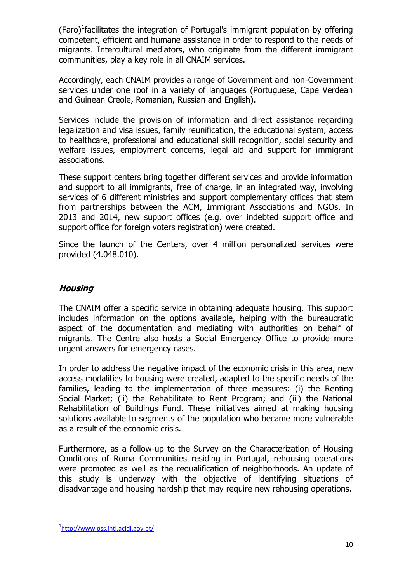(Faro)<sup>1</sup> facilitates the integration of Portugal's immigrant population by offering competent, efficient and humane assistance in order to respond to the needs of migrants. Intercultural mediators, who originate from the different immigrant communities, play a key role in all CNAIM services.

Accordingly, each CNAIM provides a range of Government and non-Government services under one roof in a variety of languages (Portuguese, Cape Verdean and Guinean Creole, Romanian, Russian and English).

Services include the provision of information and direct assistance regarding legalization and visa issues, family reunification, the educational system, access to healthcare, professional and educational skill recognition, social security and welfare issues, employment concerns, legal aid and support for immigrant associations.

These support centers bring together different services and provide information and support to all immigrants, free of charge, in an integrated way, involving services of 6 different ministries and support complementary offices that stem from partnerships between the ACM, Immigrant Associations and NGOs. In 2013 and 2014, new support offices (e.g. over indebted support office and support office for foreign voters registration) were created.

Since the launch of the Centers, over 4 million personalized services were provided (4.048.010).

## **Housing**

The CNAIM offer a specific service in obtaining adequate housing. This support includes information on the options available, helping with the bureaucratic aspect of the documentation and mediating with authorities on behalf of migrants. The Centre also hosts a Social Emergency Office to provide more urgent answers for emergency cases.

In order to address the negative impact of the economic crisis in this area, new access modalities to housing were created, adapted to the specific needs of the families, leading to the implementation of three measures: (i) the Renting Social Market; (ii) the Rehabilitate to Rent Program; and (iii) the National Rehabilitation of Buildings Fund. These initiatives aimed at making housing solutions available to segments of the population who became more vulnerable as a result of the economic crisis.

Furthermore, as a follow-up to the Survey on the Characterization of Housing Conditions of Roma Communities residing in Portugal, rehousing operations were promoted as well as the requalification of neighborhoods. An update of this study is underway with the objective of identifying situations of disadvantage and housing hardship that may require new rehousing operations.

1

<sup>1&</sup>lt;sub><http://www.oss.inti.acidi.gov.pt/></sub>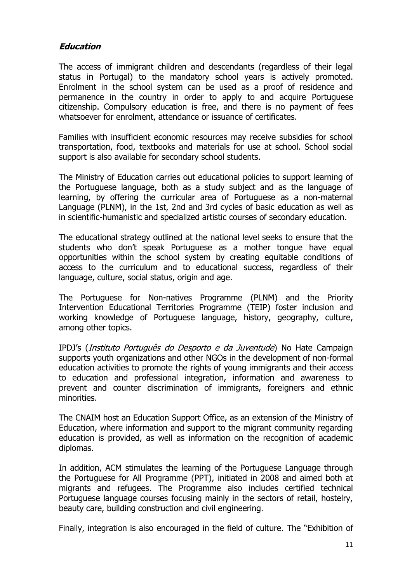#### **Education**

The access of immigrant children and descendants (regardless of their legal status in Portugal) to the mandatory school years is actively promoted. Enrolment in the school system can be used as a proof of residence and permanence in the country in order to apply to and acquire Portuguese citizenship. Compulsory education is free, and there is no payment of fees whatsoever for enrolment, attendance or issuance of certificates.

Families with insufficient economic resources may receive subsidies for school transportation, food, textbooks and materials for use at school. School social support is also available for secondary school students.

The Ministry of Education carries out educational policies to support learning of the Portuguese language, both as a study subject and as the language of learning, by offering the curricular area of Portuguese as a non-maternal Language (PLNM), in the 1st, 2nd and 3rd cycles of basic education as well as in scientific-humanistic and specialized artistic courses of secondary education.

The educational strategy outlined at the national level seeks to ensure that the students who don't speak Portuguese as a mother tongue have equal opportunities within the school system by creating equitable conditions of access to the curriculum and to educational success, regardless of their language, culture, social status, origin and age.

The Portuguese for Non-natives Programme (PLNM) and the Priority Intervention Educational Territories Programme (TEIP) foster inclusion and working knowledge of Portuguese language, history, geography, culture, among other topics.

IPDJ's (Instituto Português do Desporto e da Juventude) No Hate Campaign supports youth organizations and other NGOs in the development of non-formal education activities to promote the rights of young immigrants and their access to education and professional integration, information and awareness to prevent and counter discrimination of immigrants, foreigners and ethnic minorities.

The CNAIM host an Education Support Office, as an extension of the Ministry of Education, where information and support to the migrant community regarding education is provided, as well as information on the recognition of academic diplomas.

In addition, ACM stimulates the learning of the Portuguese Language through the Portuguese for All Programme (PPT), initiated in 2008 and aimed both at migrants and refugees. The Programme also includes certified technical Portuguese language courses focusing mainly in the sectors of retail, hostelry, beauty care, building construction and civil engineering.

Finally, integration is also encouraged in the field of culture. The "Exhibition of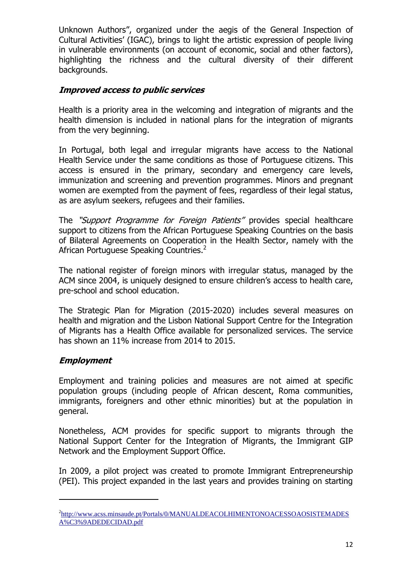Unknown Authors", organized under the aegis of the General Inspection of Cultural Activities' (IGAC), brings to light the artistic expression of people living in vulnerable environments (on account of economic, social and other factors), highlighting the richness and the cultural diversity of their different backgrounds.

## **Improved access to public services**

Health is a priority area in the welcoming and integration of migrants and the health dimension is included in national plans for the integration of migrants from the very beginning.

In Portugal, both legal and irregular migrants have access to the National Health Service under the same conditions as those of Portuguese citizens. This access is ensured in the primary, secondary and emergency care levels, immunization and screening and prevention programmes. Minors and pregnant women are exempted from the payment of fees, regardless of their legal status, as are asylum seekers, refugees and their families.

The "Support Programme for Foreign Patients" provides special healthcare support to citizens from the African Portuguese Speaking Countries on the basis of Bilateral Agreements on Cooperation in the Health Sector, namely with the African Portuguese Speaking Countries.<sup>2</sup>

The national register of foreign minors with irregular status, managed by the ACM since 2004, is uniquely designed to ensure children's access to health care, pre-school and school education.

The Strategic Plan for Migration (2015-2020) includes several measures on health and migration and the Lisbon National Support Centre for the Integration of Migrants has a Health Office available for personalized services. The service has shown an 11% increase from 2014 to 2015.

## **Employment**

1

Employment and training policies and measures are not aimed at specific population groups (including people of African descent, Roma communities, immigrants, foreigners and other ethnic minorities) but at the population in general.

Nonetheless, ACM provides for specific support to migrants through the National Support Center for the Integration of Migrants, the Immigrant GIP Network and the Employment Support Office.

In 2009, a pilot project was created to promote Immigrant Entrepreneurship (PEI). This project expanded in the last years and provides training on starting

<sup>&</sup>lt;sup>2</sup>[http://www.acss.minsaude.pt/Portals/0/MANUALDEACOLHIMENTONOACESSOAOSISTEMADES](http://www.acss.minsaude.pt/Portals/0/MANUALDEACOLHIMENTONOACESSOAOSISTEMADESA%C3%9ADEDECIDAD.pdf) [A%C3%9ADEDECIDAD.pdf](http://www.acss.minsaude.pt/Portals/0/MANUALDEACOLHIMENTONOACESSOAOSISTEMADESA%C3%9ADEDECIDAD.pdf)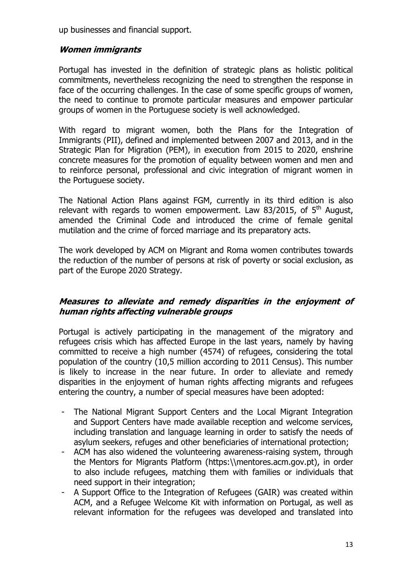up businesses and financial support.

### **Women immigrants**

Portugal has invested in the definition of strategic plans as holistic political commitments, nevertheless recognizing the need to strengthen the response in face of the occurring challenges. In the case of some specific groups of women, the need to continue to promote particular measures and empower particular groups of women in the Portuguese society is well acknowledged.

With regard to migrant women, both the Plans for the Integration of Immigrants (PII), defined and implemented between 2007 and 2013, and in the Strategic Plan for Migration (PEM), in execution from 2015 to 2020, enshrine concrete measures for the promotion of equality between women and men and to reinforce personal, professional and civic integration of migrant women in the Portuguese society.

The National Action Plans against FGM, currently in its third edition is also relevant with regards to women empowerment. Law 83/2015, of  $5<sup>th</sup>$  August, amended the Criminal Code and introduced the crime of female genital mutilation and the crime of forced marriage and its preparatory acts.

The work developed by ACM on Migrant and Roma women contributes towards the reduction of the number of persons at risk of poverty or social exclusion, as part of the Europe 2020 Strategy.

#### **Measures to alleviate and remedy disparities in the enjoyment of human rights affecting vulnerable groups**

Portugal is actively participating in the management of the migratory and refugees crisis which has affected Europe in the last years, namely by having committed to receive a high number (4574) of refugees, considering the total population of the country (10,5 million according to 2011 Census). This number is likely to increase in the near future. In order to alleviate and remedy disparities in the enjoyment of human rights affecting migrants and refugees entering the country, a number of special measures have been adopted:

- The National Migrant Support Centers and the Local Migrant Integration and Support Centers have made available reception and welcome services, including translation and language learning in order to satisfy the needs of asylum seekers, refuges and other beneficiaries of international protection;
- ACM has also widened the volunteering awareness-raising system, through the Mentors for Migrants Platform (https:\\mentores.acm.gov.pt), in order to also include refugees, matching them with families or individuals that need support in their integration;
- A Support Office to the Integration of Refugees (GAIR) was created within ACM, and a Refugee Welcome Kit with information on Portugal, as well as relevant information for the refugees was developed and translated into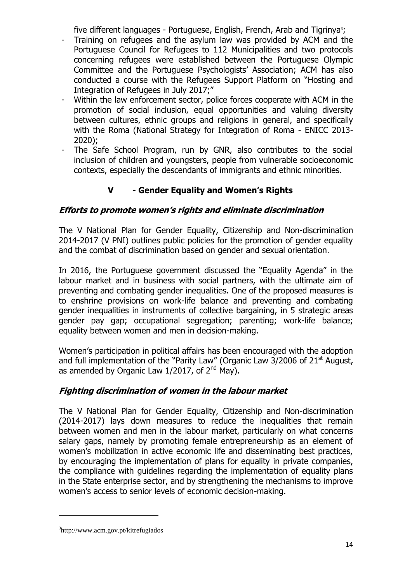five different languages - Portuguese, English, French, Arab and Tigrinya<sup>3</sup>;

- Training on refugees and the asylum law was provided by ACM and the Portuguese Council for Refugees to 112 Municipalities and two protocols concerning refugees were established between the Portuguese Olympic Committee and the Portuguese Psychologists' Association; ACM has also conducted a course with the Refugees Support Platform on "Hosting and Integration of Refugees in July 2017;"
- Within the law enforcement sector, police forces cooperate with ACM in the promotion of social inclusion, equal opportunities and valuing diversity between cultures, ethnic groups and religions in general, and specifically with the Roma (National Strategy for Integration of Roma - ENICC 2013- 2020);
- The Safe School Program, run by GNR, also contributes to the social inclusion of children and youngsters, people from vulnerable socioeconomic contexts, especially the descendants of immigrants and ethnic minorities.

## **V - Gender Equality and Women's Rights**

## **Efforts to promote women's rights and eliminate discrimination**

The V National Plan for Gender Equality, Citizenship and Non-discrimination 2014-2017 (V PNI) outlines public policies for the promotion of gender equality and the combat of discrimination based on gender and sexual orientation.

In 2016, the Portuguese government discussed the "Equality Agenda" in the labour market and in business with social partners, with the ultimate aim of preventing and combating gender inequalities. One of the proposed measures is to enshrine provisions on work-life balance and preventing and combating gender inequalities in instruments of collective bargaining, in 5 strategic areas gender pay gap; occupational segregation; parenting; work-life balance; equality between women and men in decision-making.

Women's participation in political affairs has been encouraged with the adoption and full implementation of the "Parity Law" (Organic Law  $3/2006$  of  $21<sup>st</sup>$  August, as amended by Organic Law  $1/2017$ , of  $2<sup>nd</sup>$  May).

## **Fighting discrimination of women in the labour market**

The V National Plan for Gender Equality, Citizenship and Non-discrimination (2014-2017) lays down measures to reduce the inequalities that remain between women and men in the labour market, particularly on what concerns salary gaps, namely by promoting female entrepreneurship as an element of women's mobilization in active economic life and disseminating best practices, by encouraging the implementation of plans for equality in private companies, the compliance with guidelines regarding the implementation of equality plans in the State enterprise sector, and by strengthening the mechanisms to improve women's access to senior levels of economic decision-making.

**.** 

<sup>3</sup> http://www.acm.gov.pt/kitrefugiados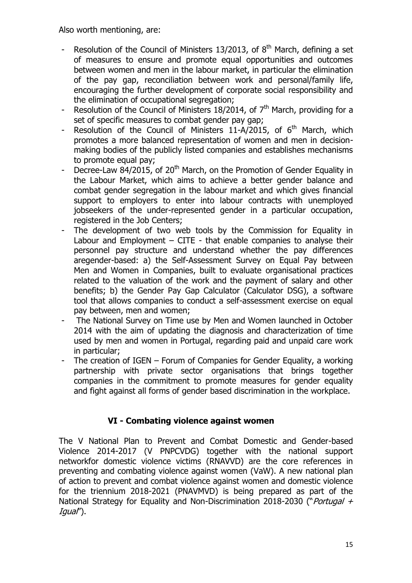Also worth mentioning, are:

- Resolution of the Council of Ministers 13/2013, of  $8<sup>th</sup>$  March, defining a set of measures to ensure and promote equal opportunities and outcomes between women and men in the labour market, in particular the elimination of the pay gap, reconciliation between work and personal/family life, encouraging the further development of corporate social responsibility and the elimination of occupational segregation;
- Resolution of the Council of Ministers 18/2014, of  $7<sup>th</sup>$  March, providing for a set of specific measures to combat gender pay gap;
- Resolution of the Council of Ministers  $11-A/2015$ , of  $6<sup>th</sup>$  March, which promotes a more balanced representation of women and men in decisionmaking bodies of the publicly listed companies and establishes mechanisms to promote equal pay;
- Decree-Law 84/2015, of 20<sup>th</sup> March, on the Promotion of Gender Equality in the Labour Market, which aims to achieve a better gender balance and combat gender segregation in the labour market and which gives financial support to employers to enter into labour contracts with unemployed jobseekers of the under-represented gender in a particular occupation, registered in the Job Centers;
- The development of two web tools by the Commission for Equality in Labour and Employment  $-$  CITE - that enable companies to analyse their personnel pay structure and understand whether the pay differences aregender-based: a) the Self-Assessment Survey on Equal Pay between Men and Women in Companies, built to evaluate organisational practices related to the valuation of the work and the payment of salary and other benefits; b) the Gender Pay Gap Calculator (Calculator DSG), a software tool that allows companies to conduct a self-assessment exercise on equal pay between, men and women;
- The National Survey on Time use by Men and Women launched in October 2014 with the aim of updating the diagnosis and characterization of time used by men and women in Portugal, regarding paid and unpaid care work in particular;
- The creation of IGEN Forum of Companies for Gender Equality, a working partnership with private sector organisations that brings together companies in the commitment to promote measures for gender equality and fight against all forms of gender based discrimination in the workplace.

## **VI - Combating violence against women**

The V National Plan to Prevent and Combat Domestic and Gender-based Violence 2014-2017 (V PNPCVDG) together with the national support networkfor domestic violence victims (RNAVVD) are the core references in preventing and combating violence against women (VaW). A new national plan of action to prevent and combat violence against women and domestic violence for the triennium 2018-2021 (PNAVMVD) is being prepared as part of the National Strategy for Equality and Non-Discrimination 2018-2030 ("Portugal  $+$ Igual").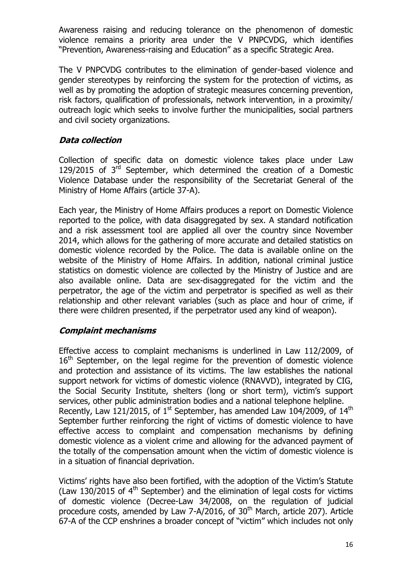Awareness raising and reducing tolerance on the phenomenon of domestic violence remains a priority area under the V PNPCVDG, which identifies "Prevention, Awareness-raising and Education" as a specific Strategic Area.

The V PNPCVDG contributes to the elimination of gender-based violence and gender stereotypes by reinforcing the system for the protection of victims, as well as by promoting the adoption of strategic measures concerning prevention, risk factors, qualification of professionals, network intervention, in a proximity/ outreach logic which seeks to involve further the municipalities, social partners and civil society organizations.

## **Data collection**

Collection of specific data on domestic violence takes place under Law 129/2015 of  $3<sup>rd</sup>$  September, which determined the creation of a Domestic Violence Database under the responsibility of the Secretariat General of the Ministry of Home Affairs (article 37-A).

Each year, the Ministry of Home Affairs produces a report on Domestic Violence reported to the police, with data disaggregated by sex. A standard notification and a risk assessment tool are applied all over the country since November 2014, which allows for the gathering of more accurate and detailed statistics on domestic violence recorded by the Police. The data is available online on the website of the Ministry of Home Affairs. In addition, national criminal justice statistics on domestic violence are collected by the Ministry of Justice and are also available online. Data are sex-disaggregated for the victim and the perpetrator, the age of the victim and perpetrator is specified as well as their relationship and other relevant variables (such as place and hour of crime, if there were children presented, if the perpetrator used any kind of weapon).

#### **Complaint mechanisms**

Effective access to complaint mechanisms is underlined in Law 112/2009, of 16<sup>th</sup> September, on the legal regime for the prevention of domestic violence and protection and assistance of its victims. The law establishes the national support network for victims of domestic violence (RNAVVD), integrated by CIG, the Social Security Institute, shelters (long or short term), victim's support services, other public administration bodies and a national telephone helpline. Recently, Law 121/2015, of 1<sup>st</sup> September, has amended Law 104/2009, of 14<sup>th</sup> September further reinforcing the right of victims of domestic violence to have effective access to complaint and compensation mechanisms by defining domestic violence as a violent crime and allowing for the advanced payment of the totally of the compensation amount when the victim of domestic violence is in a situation of financial deprivation.

Victims' rights have also been fortified, with the adoption of the Victim's Statute (Law 130/2015 of  $4<sup>th</sup>$  September) and the elimination of legal costs for victims of domestic violence (Decree-Law 34/2008, on the regulation of judicial procedure costs, amended by Law 7-A/2016, of  $30<sup>th</sup>$  March, article 207). Article 67-A of the CCP enshrines a broader concept of "victim" which includes not only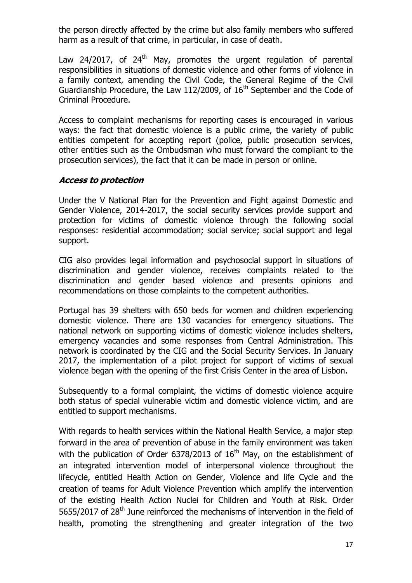the person directly affected by the crime but also family members who suffered harm as a result of that crime, in particular, in case of death.

Law 24/2017, of  $24<sup>th</sup>$  May, promotes the urgent regulation of parental responsibilities in situations of domestic violence and other forms of violence in a family context, amending the Civil Code, the General Regime of the Civil Guardianship Procedure, the Law 112/2009, of  $16<sup>th</sup>$  September and the Code of Criminal Procedure.

Access to complaint mechanisms for reporting cases is encouraged in various ways: the fact that domestic violence is a public crime, the variety of public entities competent for accepting report (police, public prosecution services, other entities such as the Ombudsman who must forward the compliant to the prosecution services), the fact that it can be made in person or online.

#### **Access to protection**

Under the V National Plan for the Prevention and Fight against Domestic and Gender Violence, 2014-2017, the social security services provide support and protection for victims of domestic violence through the following social responses: residential accommodation; social service; social support and legal support.

CIG also provides legal information and psychosocial support in situations of discrimination and gender violence, receives complaints related to the discrimination and gender based violence and presents opinions and recommendations on those complaints to the competent authorities.

Portugal has 39 shelters with 650 beds for women and children experiencing domestic violence. There are 130 vacancies for emergency situations. The national network on supporting victims of domestic violence includes shelters, emergency vacancies and some responses from Central Administration. This network is coordinated by the CIG and the Social Security Services. In January 2017, the implementation of a pilot project for support of victims of sexual violence began with the opening of the first Crisis Center in the area of Lisbon.

Subsequently to a formal complaint, the victims of domestic violence acquire both status of special vulnerable victim and domestic violence victim, and are entitled to support mechanisms.

With regards to health services within the National Health Service, a major step forward in the area of prevention of abuse in the family environment was taken with the publication of Order 6378/2013 of  $16<sup>th</sup>$  May, on the establishment of an integrated intervention model of interpersonal violence throughout the lifecycle, entitled Health Action on Gender, Violence and life Cycle and the creation of teams for Adult Violence Prevention which amplify the intervention of the existing Health Action Nuclei for Children and Youth at Risk. Order 5655/2017 of 28<sup>th</sup> June reinforced the mechanisms of intervention in the field of health, promoting the strengthening and greater integration of the two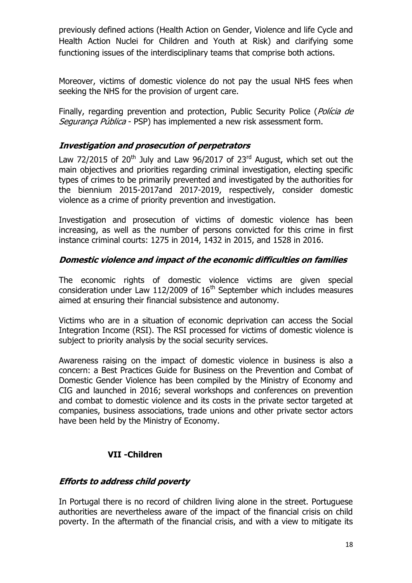previously defined actions (Health Action on Gender, Violence and life Cycle and Health Action Nuclei for Children and Youth at Risk) and clarifying some functioning issues of the interdisciplinary teams that comprise both actions.

Moreover, victims of domestic violence do not pay the usual NHS fees when seeking the NHS for the provision of urgent care.

Finally, regarding prevention and protection, Public Security Police (Policia de Segurança Pública - PSP) has implemented a new risk assessment form.

## **Investigation and prosecution of perpetrators**

Law 72/2015 of 20<sup>th</sup> July and Law 96/2017 of 23<sup>rd</sup> August, which set out the main objectives and priorities regarding criminal investigation, electing specific types of crimes to be primarily prevented and investigated by the authorities for the biennium 2015-2017and 2017-2019, respectively, consider domestic violence as a crime of priority prevention and investigation.

Investigation and prosecution of victims of domestic violence has been increasing, as well as the number of persons convicted for this crime in first instance criminal courts: 1275 in 2014, 1432 in 2015, and 1528 in 2016.

## **Domestic violence and impact of the economic difficulties on families**

The economic rights of domestic violence victims are given special consideration under Law 112/2009 of  $16<sup>th</sup>$  September which includes measures aimed at ensuring their financial subsistence and autonomy.

Victims who are in a situation of economic deprivation can access the Social Integration Income (RSI). The RSI processed for victims of domestic violence is subject to priority analysis by the social security services.

Awareness raising on the impact of domestic violence in business is also a concern: a Best Practices Guide for Business on the Prevention and Combat of Domestic Gender Violence has been compiled by the Ministry of Economy and CIG and launched in 2016; several workshops and conferences on prevention and combat to domestic violence and its costs in the private sector targeted at companies, business associations, trade unions and other private sector actors have been held by the Ministry of Economy.

## **VII -Children**

## **Efforts to address child poverty**

In Portugal there is no record of children living alone in the street. Portuguese authorities are nevertheless aware of the impact of the financial crisis on child poverty. In the aftermath of the financial crisis, and with a view to mitigate its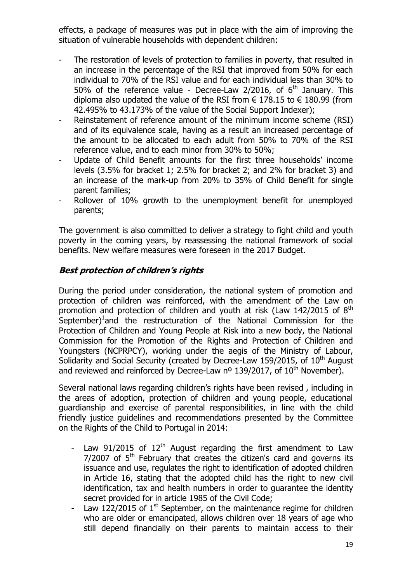effects, a package of measures was put in place with the aim of improving the situation of vulnerable households with dependent children:

- The restoration of levels of protection to families in poverty, that resulted in an increase in the percentage of the RSI that improved from 50% for each individual to 70% of the RSI value and for each individual less than 30% to 50% of the reference value - Decree-Law 2/2016, of  $6<sup>th</sup>$  January. This diploma also updated the value of the RSI from  $\epsilon$  178.15 to  $\epsilon$  180.99 (from 42.495% to 43.173% of the value of the Social Support Indexer);
- Reinstatement of reference amount of the minimum income scheme (RSI) and of its equivalence scale, having as a result an increased percentage of the amount to be allocated to each adult from 50% to 70% of the RSI reference value, and to each minor from 30% to 50%;
- Update of Child Benefit amounts for the first three households' income levels (3.5% for bracket 1; 2.5% for bracket 2; and 2% for bracket 3) and an increase of the mark-up from 20% to 35% of Child Benefit for single parent families;
- Rollover of 10% growth to the unemployment benefit for unemployed parents;

The government is also committed to deliver a strategy to fight child and youth poverty in the coming years, by reassessing the national framework of social benefits. New welfare measures were foreseen in the 2017 Budget.

#### **Best protection of children's rights**

During the period under consideration, the national system of promotion and protection of children was reinforced, with the amendment of the Law on promotion and protection of children and youth at risk (Law  $142/2015$  of  $8<sup>th</sup>$ September)<sup>1</sup> and the restructuration of the National Commission for the Protection of Children and Young People at Risk into a new body, the National Commission for the Promotion of the Rights and Protection of Children and Youngsters (NCPRPCY), working under the aegis of the Ministry of Labour, Solidarity and Social Security (created by Decree-Law 159/2015, of  $10<sup>th</sup>$  August and reviewed and reinforced by Decree-Law  $n^{\circ}$  139/2017, of 10<sup>th</sup> November).

Several national laws regarding children's rights have been revised , including in the areas of adoption, protection of children and young people, educational guardianship and exercise of parental responsibilities, in line with the child friendly justice guidelines and recommendations presented by the Committee on the Rights of the Child to Portugal in 2014:

- Law 91/2015 of  $12<sup>th</sup>$  August regarding the first amendment to Law  $7/2007$  of  $5<sup>th</sup>$  February that creates the citizen's card and governs its issuance and use, regulates the right to identification of adopted children in Article 16, stating that the adopted child has the right to new civil identification, tax and health numbers in order to guarantee the identity secret provided for in article 1985 of the Civil Code;
- Law 122/2015 of  $1<sup>st</sup>$  September, on the maintenance regime for children who are older or emancipated, allows children over 18 years of age who still depend financially on their parents to maintain access to their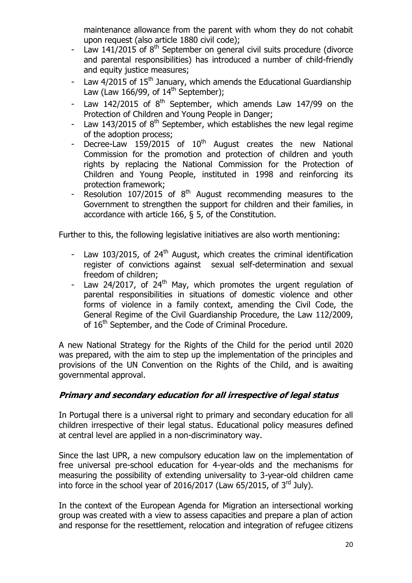maintenance allowance from the parent with whom they do not cohabit upon request (also article 1880 civil code);

- Law 141/2015 of  $8<sup>th</sup>$  September on general civil suits procedure (divorce and parental responsibilities) has introduced a number of child-friendly and equity justice measures;
- Law  $4/2015$  of  $15<sup>th</sup>$  January, which amends the Educational Guardianship Law (Law 166/99, of  $14^{\text{th}}$  September);
- Law 142/2015 of  $8<sup>th</sup>$  September, which amends Law 147/99 on the Protection of Children and Young People in Danger;
- Law 143/2015 of  $8<sup>th</sup>$  September, which establishes the new legal regime of the adoption process;
- Decree-Law  $159/2015$  of  $10^{th}$  August creates the new National Commission for the promotion and protection of children and youth rights by replacing the National Commission for the Protection of Children and Young People, instituted in 1998 and reinforcing its protection framework;
- Resolution  $107/2015$  of  $8<sup>th</sup>$  August recommending measures to the Government to strengthen the support for children and their families, in accordance with article 166, § 5, of the Constitution.

Further to this, the following legislative initiatives are also worth mentioning:

- Law 103/2015, of  $24<sup>th</sup>$  August, which creates the criminal identification register of convictions against sexual self-determination and sexual freedom of children;
- Law 24/2017, of  $24<sup>th</sup>$  May, which promotes the urgent regulation of parental responsibilities in situations of domestic violence and other forms of violence in a family context, amending the Civil Code, the General Regime of the Civil Guardianship Procedure, the Law 112/2009, of 16<sup>th</sup> September, and the Code of Criminal Procedure.

A new National Strategy for the Rights of the Child for the period until 2020 was prepared, with the aim to step up the implementation of the principles and provisions of the UN Convention on the Rights of the Child, and is awaiting governmental approval.

## **Primary and secondary education for all irrespective of legal status**

In Portugal there is a universal right to primary and secondary education for all children irrespective of their legal status. Educational policy measures defined at central level are applied in a non-discriminatory way.

Since the last UPR, a new compulsory education law on the implementation of free universal pre-school education for 4-year-olds and the mechanisms for measuring the possibility of extending universality to 3-year-old children came into force in the school year of 2016/2017 (Law 65/2015, of  $3<sup>rd</sup>$  July).

In the context of the European Agenda for Migration an intersectional working group was created with a view to assess capacities and prepare a plan of action and response for the resettlement, relocation and integration of refugee citizens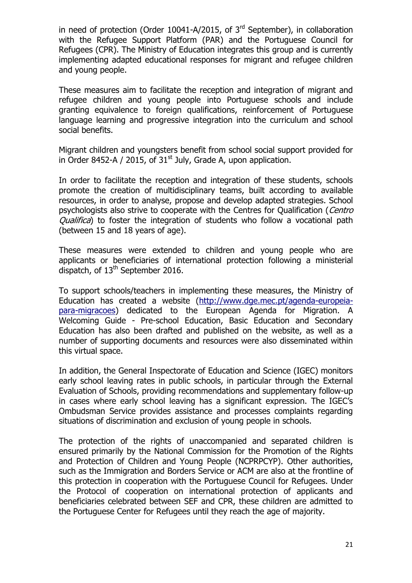in need of protection (Order 10041-A/2015, of  $3<sup>rd</sup>$  September), in collaboration with the [Refugee Support Platform](http://www.refugiados.pt/) (PAR) and the [Portuguese Council for](http://www.cpr.pt/)  [Refugees](http://www.cpr.pt/) (CPR). The Ministry of Education integrates this group and is currently implementing adapted educational responses for migrant and refugee children and young people.

These measures aim to facilitate the reception and integration of migrant and refugee children and young people into Portuguese schools and include granting equivalence to foreign qualifications, reinforcement of Portuguese language learning and progressive integration into the curriculum and school social benefits.

Migrant children and youngsters benefit from school social support provided for in Order 8452-A / 2015, of  $31<sup>st</sup>$  July, Grade A, upon application.

In order to facilitate the reception and integration of these students, schools promote the creation of multidisciplinary teams, built according to available resources, in order to analyse, propose and develop adapted strategies. School psychologists also strive to cooperate with the Centres for Qualification (Centro Qualifica) to foster the integration of students who follow a vocational path (between 15 and 18 years of age).

These measures were extended to children and young people who are applicants or beneficiaries of international protection following a ministerial dispatch, of  $13<sup>th</sup>$  September 2016.

To support schools/teachers in implementing these measures, the Ministry of Education has created a website [\(http://www.dge.mec.pt/agenda-europeia](http://www.dge.mec.pt/agenda-europeia-para-migracoes)[para-migracoes\)](http://www.dge.mec.pt/agenda-europeia-para-migracoes) dedicated to the European Agenda for Migration. A Welcoming Guide - Pre-school Education, Basic Education and Secondary Education has also been drafted and published on the website, as well as a number of supporting documents and resources were also disseminated within this virtual space.

In addition, the General Inspectorate of Education and Science (IGEC) monitors early school leaving rates in public schools, in particular through the External Evaluation of Schools, providing recommendations and supplementary follow-up in cases where early school leaving has a significant expression. The IGEC's Ombudsman Service provides assistance and processes complaints regarding situations of discrimination and exclusion of young people in schools.

The protection of the rights of unaccompanied and separated children is ensured primarily by the National Commission for the Promotion of the Rights and Protection of Children and Young People (NCPRPCYP). Other authorities, such as the Immigration and Borders Service or ACM are also at the frontline of this protection in cooperation with the Portuguese Council for Refugees. Under the Protocol of cooperation on international protection of applicants and beneficiaries celebrated between SEF and CPR, these children are admitted to the Portuguese Center for Refugees until they reach the age of majority.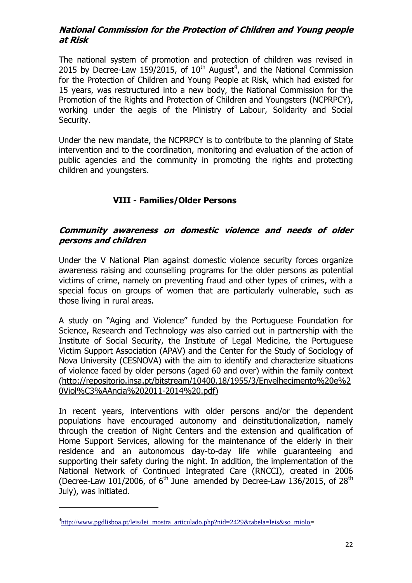#### **National Commission for the Protection of Children and Young people at Risk**

The national system of promotion and protection of children was revised in 2015 by Decree-Law 159/2015, of  $10^{th}$  August<sup>4</sup>, and the National Commission for the Protection of Children and Young People at Risk, which had existed for 15 years, was restructured into a new body, the National Commission for the Promotion of the Rights and Protection of Children and Youngsters (NCPRPCY), working under the aegis of the Ministry of Labour, Solidarity and Social Security.

Under the new mandate, the NCPRPCY is to contribute to the planning of State intervention and to the coordination, monitoring and evaluation of the action of public agencies and the community in promoting the rights and protecting children and youngsters.

## **VIII - Families/Older Persons**

#### **Community awareness on domestic violence and needs of older persons and children**

Under the V National Plan against domestic violence security forces organize awareness raising and counselling programs for the older persons as potential victims of crime, namely on preventing fraud and other types of crimes, with a special focus on groups of women that are particularly vulnerable, such as those living in rural areas.

A study on "Aging and Violence" funded by the Portuguese Foundation for Science, Research and Technology was also carried out in partnership with the Institute of Social Security, the Institute of Legal Medicine, the Portuguese Victim Support Association (APAV) and the Center for the Study of Sociology of Nova University (CESNOVA) with the aim to identify and characterize situations of violence faced by older persons (aged 60 and over) within the family context (http://repositorio.insa.pt/bitstream/10400.18/1955/3/Envelhecimento%20e%2 0Viol%C3%AAncia%202011-2014%20.pdf)

In recent years, interventions with older persons and/or the dependent populations have encouraged autonomy and deinstitutionalization, namely through the creation of Night Centers and the extension and qualification of Home Support Services, allowing for the maintenance of the elderly in their residence and an autonomous day-to-day life while guaranteeing and supporting their safety during the night. In addition, the implementation of the National Network of Continued Integrated Care (RNCCI), created in 2006 (Decree-Law 101/2006, of  $6<sup>th</sup>$  June amended by Decree-Law 136/2015, of 28<sup>th</sup> July), was initiated.

**.** 

<sup>&</sup>lt;sup>4</sup>[http://www.pgdlisboa.pt/leis/lei\\_mostra\\_articulado.php?nid=2429&tabela=leis&so\\_miolo=](http://www.pgdlisboa.pt/leis/lei_mostra_articulado.php?nid=2429&tabela=leis&so_miolo)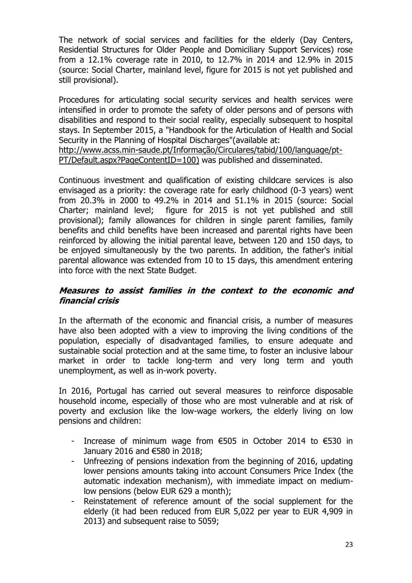The network of social services and facilities for the elderly (Day Centers, Residential Structures for Older People and Domiciliary Support Services) rose from a 12.1% coverage rate in 2010, to 12.7% in 2014 and 12.9% in 2015 (source: Social Charter, mainland level, figure for 2015 is not yet published and still provisional).

Procedures for articulating social security services and health services were intensified in order to promote the safety of older persons and of persons with disabilities and respond to their social reality, especially subsequent to hospital stays. In September 2015, a "Handbook for the Articulation of Health and Social Security in the Planning of Hospital Discharges"(available at:

[http://www.acss.min-saude.pt/Informação/Circulares/tabid/100/language/pt-](http://www.acss.min-saude.pt/Informa%C3%A7%C3%A3o/Circulares/tabid/100/language/pt-PT/Default.aspx?PageContentID=100)[PT/Default.aspx?PageContentID=100\)](http://www.acss.min-saude.pt/Informa%C3%A7%C3%A3o/Circulares/tabid/100/language/pt-PT/Default.aspx?PageContentID=100) was published and disseminated.

Continuous investment and qualification of existing childcare services is also envisaged as a priority: the coverage rate for early childhood (0-3 years) went from 20.3% in 2000 to 49.2% in 2014 and 51.1% in 2015 (source: Social Charter; mainland level; figure for 2015 is not yet published and still provisional); family allowances for children in single parent families, family benefits and child benefits have been increased and parental rights have been reinforced by allowing the initial parental leave, between 120 and 150 days, to be enjoyed simultaneously by the two parents. In addition, the father's initial parental allowance was extended from 10 to 15 days, this amendment entering into force with the next State Budget.

#### **Measures to assist families in the context to the economic and financial crisis**

In the aftermath of the economic and financial crisis, a number of measures have also been adopted with a view to improving the living conditions of the population, especially of disadvantaged families, to ensure adequate and sustainable social protection and at the same time, to foster an inclusive labour market in order to tackle long-term and very long term and youth unemployment, as well as in-work poverty.

In 2016, Portugal has carried out several measures to reinforce disposable household income, especially of those who are most vulnerable and at risk of poverty and exclusion like the low-wage workers, the elderly living on low pensions and children:

- Increase of minimum wage from €505 in October 2014 to €530 in January 2016 and €580 in 2018;
- Unfreezing of pensions indexation from the beginning of 2016, updating lower pensions amounts taking into account Consumers Price Index (the automatic indexation mechanism), with immediate impact on mediumlow pensions (below EUR 629 a month);
- Reinstatement of reference amount of the social supplement for the elderly (it had been reduced from EUR 5,022 per year to EUR 4,909 in 2013) and subsequent raise to 5059;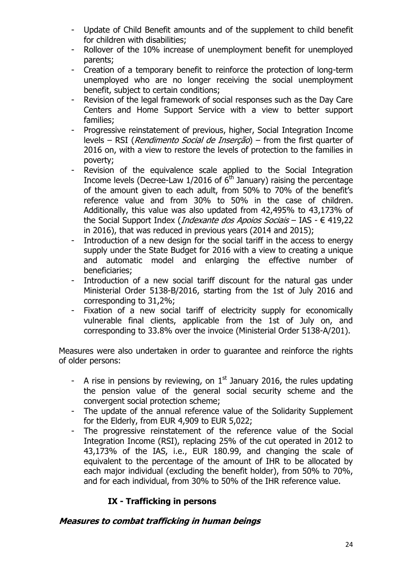- Update of Child Benefit amounts and of the supplement to child benefit for children with disabilities;
- Rollover of the 10% increase of unemployment benefit for unemployed parents;
- Creation of a temporary benefit to reinforce the protection of long-term unemployed who are no longer receiving the social unemployment benefit, subject to certain conditions;
- Revision of the legal framework of social responses such as the Day Care Centers and Home Support Service with a view to better support families;
- Progressive reinstatement of previous, higher, Social Integration Income levels – RSI (*Rendimento Social de Inserção*) – from the first quarter of 2016 on, with a view to restore the levels of protection to the families in poverty;
- Revision of the equivalence scale applied to the Social Integration Income levels (Decree-Law  $1/2016$  of  $6<sup>th</sup>$  January) raising the percentage of the amount given to each adult, from 50% to 70% of the benefit's reference value and from 30% to 50% in the case of children. Additionally, this value was also updated from 42,495% to 43,173% of the Social Support Index (*Indexante dos Apoios Sociais* – IAS -  $\in$  419,22 in 2016), that was reduced in previous years (2014 and 2015);
- Introduction of a new design for the social tariff in the access to energy supply under the State Budget for 2016 with a view to creating a unique and automatic model and enlarging the effective number of beneficiaries;
- Introduction of a new social tariff discount for the natural gas under Ministerial Order 5138-B/2016, starting from the 1st of July 2016 and corresponding to 31,2%;
- Fixation of a new social tariff of electricity supply for economically vulnerable final clients, applicable from the 1st of July on, and corresponding to 33.8% over the invoice (Ministerial Order 5138-A/201).

Measures were also undertaken in order to guarantee and reinforce the rights of older persons:

- A rise in pensions by reviewing, on  $1<sup>st</sup>$  January 2016, the rules updating the pension value of the general social security scheme and the convergent social protection scheme;
- The update of the annual reference value of the Solidarity Supplement for the Elderly, from EUR 4,909 to EUR 5,022;
- The progressive reinstatement of the reference value of the Social Integration Income (RSI), replacing 25% of the cut operated in 2012 to 43,173% of the IAS, i.e., EUR 180.99, and changing the scale of equivalent to the percentage of the amount of IHR to be allocated by each major individual (excluding the benefit holder), from 50% to 70%, and for each individual, from 30% to 50% of the IHR reference value.

## **IX - Trafficking in persons**

#### **Measures to combat trafficking in human beings**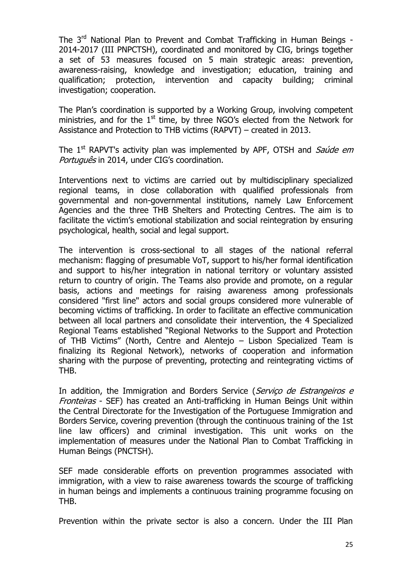The 3<sup>rd</sup> National Plan to Prevent and Combat Trafficking in Human Beings -2014-2017 (III PNPCTSH), coordinated and monitored by CIG, brings together a set of 53 measures focused on 5 main strategic areas: prevention, awareness-raising, knowledge and investigation; education, training and qualification; protection, intervention and capacity building; criminal investigation; cooperation.

The Plan's coordination is supported by a Working Group, involving competent ministries, and for the  $1<sup>st</sup>$  time, by three NGO's elected from the Network for Assistance and Protection to THB victims (RAPVT) – created in 2013.

The  $1<sup>st</sup>$  RAPVT's activity plan was implemented by APF, OTSH and Saúde em Português in 2014, under CIG's coordination.

Interventions next to victims are carried out by multidisciplinary specialized regional teams, in close collaboration with qualified professionals from governmental and non-governmental institutions, namely Law Enforcement Agencies and the three THB Shelters and Protecting Centres. The aim is to facilitate the victim's emotional stabilization and social reintegration by ensuring psychological, health, social and legal support.

The intervention is cross-sectional to all stages of the national referral mechanism: flagging of presumable VoT, support to his/her formal identification and support to his/her integration in national territory or voluntary assisted return to country of origin. The Teams also provide and promote, on a regular basis, actions and meetings for raising awareness among professionals considered "first line" actors and social groups considered more vulnerable of becoming victims of trafficking. In order to facilitate an effective communication between all local partners and consolidate their intervention, the 4 Specialized Regional Teams established "Regional Networks to the Support and Protection of THB Victims" (North, Centre and Alentejo – Lisbon Specialized Team is finalizing its Regional Network), networks of cooperation and information sharing with the purpose of preventing, protecting and reintegrating victims of THB.

In addition, the Immigration and Borders Service (Serviço de Estrangeiros e Fronteiras - SEF) has created an Anti-trafficking in Human Beings Unit within the Central Directorate for the Investigation of the Portuguese Immigration and Borders Service, covering prevention (through the continuous training of the 1st line law officers) and criminal investigation. This unit works on the implementation of measures under the National Plan to Combat Trafficking in Human Beings (PNCTSH).

SEF made considerable efforts on prevention programmes associated with immigration, with a view to raise awareness towards the scourge of trafficking in human beings and implements a continuous training programme focusing on THB.

Prevention within the private sector is also a concern. Under the III Plan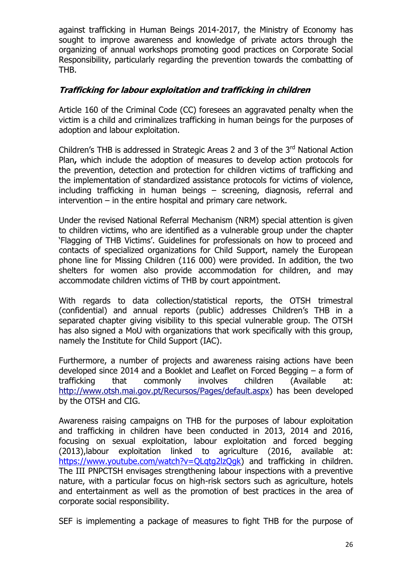against trafficking in Human Beings 2014-2017, the Ministry of Economy has sought to improve awareness and knowledge of private actors through the organizing of annual workshops promoting good practices on Corporate Social Responsibility, particularly regarding the prevention towards the combatting of THB.

### **Trafficking for labour exploitation and trafficking in children**

Article 160 of the Criminal Code (CC) foresees an aggravated penalty when the victim is a child and criminalizes trafficking in human beings for the purposes of adoption and labour exploitation.

Children's THB is addressed in Strategic Areas 2 and 3 of the 3<sup>rd</sup> National Action Plan**,** which include the adoption of measures to develop action protocols for the prevention, detection and protection for children victims of trafficking and the implementation of standardized assistance protocols for victims of violence, including trafficking in human beings – screening, diagnosis, referral and intervention – in the entire hospital and primary care network.

Under the revised National Referral Mechanism (NRM) special attention is given to children victims, who are identified as a vulnerable group under the chapter 'Flagging of THB Victims'. Guidelines for professionals on how to proceed and contacts of specialized organizations for Child Support, namely the European phone line for Missing Children (116 000) were provided. In addition, the two shelters for women also provide accommodation for children, and may accommodate children victims of THB by court appointment.

With regards to data collection/statistical reports, the OTSH trimestral (confidential) and annual reports (public) addresses Children's THB in a separated chapter giving visibility to this special vulnerable group. The OTSH has also signed a MoU with organizations that work specifically with this group, namely the Institute for Child Support (IAC).

Furthermore, a number of projects and awareness raising actions have been developed since 2014 and a Booklet and Leaflet on Forced Begging – a form of trafficking that commonly involves children (Available at: [http://www.otsh.mai.gov.pt/Recursos/Pages/default.aspx\)](http://www.otsh.mai.gov.pt/Recursos/Pages/default.aspx) has been developed by the OTSH and CIG.

Awareness raising campaigns on THB for the purposes of labour exploitation and trafficking in children have been conducted in 2013, 2014 and 2016, focusing on sexual exploitation, labour exploitation and forced begging (2013),labour exploitation linked to agriculture (2016, available at: https://www.youtube.com/watch?v=QLqtq2lzQqk) and trafficking in children. The III PNPCTSH envisages strengthening labour inspections with a preventive nature, with a particular focus on high-risk sectors such as agriculture, hotels and entertainment as well as the promotion of best practices in the area of corporate social responsibility.

SEF is implementing a package of measures to fight THB for the purpose of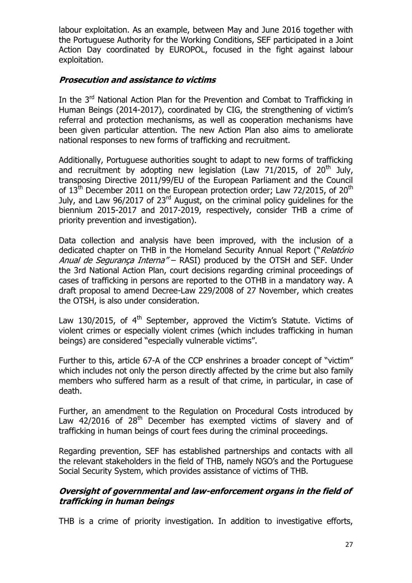labour exploitation. As an example, between May and June 2016 together with the Portuguese Authority for the Working Conditions, SEF participated in a Joint Action Day coordinated by EUROPOL, focused in the fight against labour exploitation.

## **Prosecution and assistance to victims**

In the 3<sup>rd</sup> National Action Plan for the Prevention and Combat to Trafficking in Human Beings (2014-2017), coordinated by CIG, the strengthening of victim's referral and protection mechanisms, as well as cooperation mechanisms have been given particular attention. The new Action Plan also aims to ameliorate national responses to new forms of trafficking and recruitment.

Additionally, Portuguese authorities sought to adapt to new forms of trafficking and recruitment by adopting new legislation (Law 71/2015, of 20<sup>th</sup> July, transposing Directive 2011/99/EU of the European Parliament and the Council of  $13<sup>th</sup>$  December 2011 on the European protection order; Law 72/2015, of 20<sup>th</sup> July, and Law 96/2017 of 23rd August, on the criminal policy guidelines for the biennium 2015-2017 and 2017-2019, respectively, consider THB a crime of priority prevention and investigation).

Data collection and analysis have been improved, with the inclusion of a dedicated chapter on THB in the Homeland Security Annual Report ("Relatório Anual de Segurança Interna" – RASI) produced by the OTSH and SEF. Under the 3rd National Action Plan, court decisions regarding criminal proceedings of cases of trafficking in persons are reported to the OTHB in a mandatory way. A draft proposal to amend Decree-Law 229/2008 of 27 November, which creates the OTSH, is also under consideration.

Law 130/2015, of  $4<sup>th</sup>$  September, approved the Victim's Statute. Victims of violent crimes or especially violent crimes (which includes trafficking in human beings) are considered "especially vulnerable victims".

Further to this, article 67-A of the CCP enshrines a broader concept of "victim" which includes not only the person directly affected by the crime but also family members who suffered harm as a result of that crime, in particular, in case of death.

Further, an amendment to the Regulation on Procedural Costs introduced by Law 42/2016 of 28<sup>th</sup> December has exempted victims of slavery and of trafficking in human beings of court fees during the criminal proceedings.

Regarding prevention, SEF has established partnerships and contacts with all the relevant stakeholders in the field of THB, namely NGO's and the Portuguese Social Security System, which provides assistance of victims of THB.

#### **Oversight of governmental and law-enforcement organs in the field of trafficking in human beings**

THB is a crime of priority investigation. In addition to investigative efforts,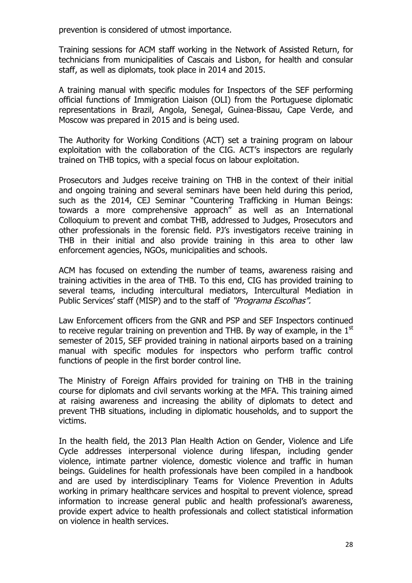prevention is considered of utmost importance.

Training sessions for ACM staff working in the Network of Assisted Return, for technicians from municipalities of Cascais and Lisbon, for health and consular staff, as well as diplomats, took place in 2014 and 2015.

A training manual with specific modules for Inspectors of the SEF performing official functions of Immigration Liaison (OLI) from the Portuguese diplomatic representations in Brazil, Angola, Senegal, Guinea-Bissau, Cape Verde, and Moscow was prepared in 2015 and is being used.

The Authority for Working Conditions (ACT) set a training program on labour exploitation with the collaboration of the CIG. ACT's inspectors are regularly trained on THB topics, with a special focus on labour exploitation.

Prosecutors and Judges receive training on THB in the context of their initial and ongoing training and several seminars have been held during this period, such as the 2014, CEJ Seminar "Countering Trafficking in Human Beings: towards a more comprehensive approach" as well as an International Colloquium to prevent and combat THB, addressed to Judges, Prosecutors and other professionals in the forensic field. PJ's investigators receive training in THB in their initial and also provide training in this area to other law enforcement agencies, NGOs, municipalities and schools.

ACM has focused on extending the number of teams, awareness raising and training activities in the area of THB. To this end, CIG has provided training to several teams, including intercultural mediators, Intercultural Mediation in Public Services' staff (MISP) and to the staff of "*Programa Escolhas"*.

Law Enforcement officers from the GNR and PSP and SEF Inspectors continued to receive regular training on prevention and THB. By way of example, in the  $1<sup>st</sup>$ semester of 2015, SEF provided training in national airports based on a training manual with specific modules for inspectors who perform traffic control functions of people in the first border control line.

The Ministry of Foreign Affairs provided for training on THB in the training course for diplomats and civil servants working at the MFA. This training aimed at raising awareness and increasing the ability of diplomats to detect and prevent THB situations, including in diplomatic households, and to support the victims.

In the health field, the 2013 Plan Health Action on Gender, Violence and Life Cycle addresses interpersonal violence during lifespan, including gender violence, intimate partner violence, domestic violence and traffic in human beings. Guidelines for health professionals have been compiled in a handbook and are used by interdisciplinary Teams for Violence Prevention in Adults working in primary healthcare services and hospital to prevent violence, spread information to increase general public and health professional's awareness, provide expert advice to health professionals and collect statistical information on violence in health services.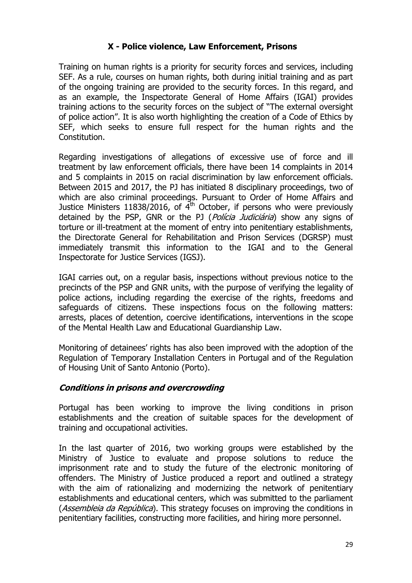### **X - Police violence, Law Enforcement, Prisons**

Training on human rights is a priority for security forces and services, including SEF. As a rule, courses on human rights, both during initial training and as part of the ongoing training are provided to the security forces. In this regard, and as an example, the Inspectorate General of Home Affairs (IGAI) provides training actions to the security forces on the subject of "The external oversight of police action". It is also worth highlighting the creation of a Code of Ethics by SEF, which seeks to ensure full respect for the human rights and the Constitution.

Regarding investigations of allegations of excessive use of force and ill treatment by law enforcement officials, there have been 14 complaints in 2014 and 5 complaints in 2015 on racial discrimination by law enforcement officials. Between 2015 and 2017, the PJ has initiated 8 disciplinary proceedings, two of which are also criminal proceedings. Pursuant to Order of Home Affairs and Justice Ministers 11838/2016, of  $4<sup>th</sup>$  October, if persons who were previously detained by the PSP, GNR or the PJ (*Polícia Judiciária*) show any signs of torture or ill-treatment at the moment of entry into penitentiary establishments, the Directorate General for Rehabilitation and Prison Services (DGRSP) must immediately transmit this information to the IGAI and to the General Inspectorate for Justice Services (IGSJ).

IGAI carries out, on a regular basis, inspections without previous notice to the precincts of the PSP and GNR units, with the purpose of verifying the legality of police actions, including regarding the exercise of the rights, freedoms and safeguards of citizens. These inspections focus on the following matters: arrests, places of detention, coercive identifications, interventions in the scope of the Mental Health Law and Educational Guardianship Law.

Monitoring of detainees' rights has also been improved with the adoption of the Regulation of Temporary Installation Centers in Portugal and of the Regulation of Housing Unit of Santo Antonio (Porto).

#### **Conditions in prisons and overcrowding**

Portugal has been working to improve the living conditions in prison establishments and the creation of suitable spaces for the development of training and occupational activities.

In the last quarter of 2016, two working groups were established by the Ministry of Justice to evaluate and propose solutions to reduce the imprisonment rate and to study the future of the electronic monitoring of offenders. The Ministry of Justice produced a report and outlined a strategy with the aim of rationalizing and modernizing the network of penitentiary establishments and educational centers, which was submitted to the parliament (*Assembleia da República*). This strategy focuses on improving the conditions in penitentiary facilities, constructing more facilities, and hiring more personnel.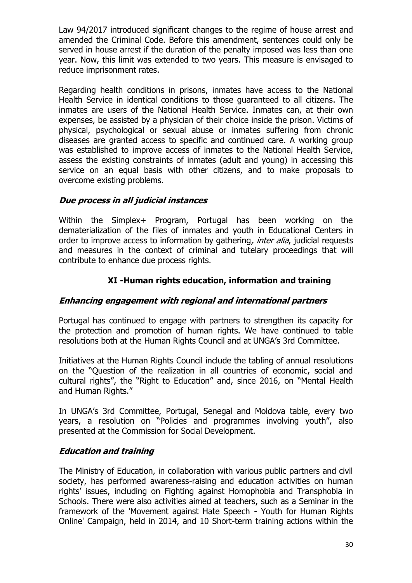Law 94/2017 introduced significant changes to the regime of house arrest and amended the Criminal Code. Before this amendment, sentences could only be served in house arrest if the duration of the penalty imposed was less than one year. Now, this limit was extended to two years. This measure is envisaged to reduce imprisonment rates.

Regarding health conditions in prisons, inmates have access to the National Health Service in identical conditions to those guaranteed to all citizens. The inmates are users of the National Health Service. Inmates can, at their own expenses, be assisted by a physician of their choice inside the prison. Victims of physical, psychological or sexual abuse or inmates suffering from chronic diseases are granted access to specific and continued care. A working group was established to improve access of inmates to the National Health Service, assess the existing constraints of inmates (adult and young) in accessing this service on an equal basis with other citizens, and to make proposals to overcome existing problems.

#### **Due process in all judicial instances**

Within the Simplex+ Program, Portugal has been working on the dematerialization of the files of inmates and youth in Educational Centers in order to improve access to information by gathering, *inter alia*, judicial requests and measures in the context of criminal and tutelary proceedings that will contribute to enhance due process rights.

#### **XI -Human rights education, information and training**

#### **Enhancing engagement with regional and international partners**

Portugal has continued to engage with partners to strengthen its capacity for the protection and promotion of human rights. We have continued to table resolutions both at the Human Rights Council and at UNGA's 3rd Committee.

Initiatives at the Human Rights Council include the tabling of annual resolutions on the "Question of the realization in all countries of economic, social and cultural rights", the "Right to Education" and, since 2016, on "Mental Health and Human Rights."

In UNGA's 3rd Committee, Portugal, Senegal and Moldova table, every two years, a resolution on "Policies and programmes involving youth", also presented at the Commission for Social Development.

#### **Education and training**

The Ministry of Education, in collaboration with various public partners and civil society, has performed awareness-raising and education activities on human rights' issues, including on Fighting against Homophobia and Transphobia in Schools. There were also activities aimed at teachers, such as a Seminar in the framework of the 'Movement against Hate Speech - Youth for Human Rights Online' Campaign, held in 2014, and 10 Short-term training actions within the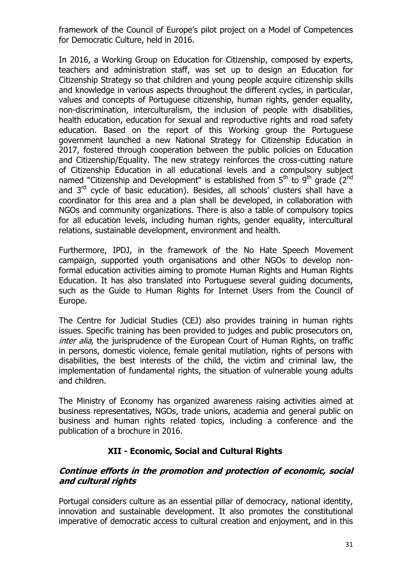framework of the Council of Europe's pilot project on a Model of Competences for Democratic Culture, held in 2016.

In 2016, a Working Group on Education for Citizenship, composed by experts, teachers and administration staff, was set up to design an Education for Citizenship Strategy so that children and young people acquire citizenship skills and knowledge in various aspects throughout the different cycles, in particular, values and concepts of Portuguese citizenship, human rights, gender equality, non-discrimination, interculturalism, the inclusion of people with disabilities, health education, education for sexual and reproductive rights and road safety education. Based on the report of this Working group the Portuguese government launched a new National Strategy for Citizenship Education in 2017, fostered through cooperation between the public policies on Education and Citizenship/Equality. The new strategy reinforces the cross-cutting nature of Citizenship Education in all educational levels and a compulsory subject named "Citizenship and Development" is established from  $5<sup>th</sup>$  to  $9<sup>th</sup>$  grade (2<sup>nd</sup>) and  $3<sup>rd</sup>$  cycle of basic education). Besides, all schools' clusters shall have a coordinator for this area and a plan shall be developed, in collaboration with NGOs and community organizations. There is also a table of compulsory topics for all education levels, including human rights, gender equality, intercultural relations, sustainable development, environment and health.

Furthermore, IPDJ, in the framework of the No Hate Speech Movement campaign, supported youth organisations and other NGOs to develop nonformal education activities aiming to promote Human Rights and Human Rights Education. It has also translated into Portuguese several guiding documents, such as the Guide to Human Rights for Internet Users from the Council of Europe.

The Centre for Judicial Studies (CEJ) also provides training in human rights issues. Specific training has been provided to judges and public prosecutors on, *inter alia*, the jurisprudence of the European Court of Human Rights, on traffic in persons, domestic violence, female genital mutilation, rights of persons with disabilities, the best interests of the child, the victim and criminal law, the implementation of fundamental rights, the situation of vulnerable young adults and children.

The Ministry of Economy has organized awareness raising activities aimed at business representatives, NGOs, trade unions, academia and general public on business and human rights related topics, including a conference and the publication of a brochure in 2016.

## **XII - Economic, Social and Cultural Rights**

#### **Continue efforts in the promotion and protection of economic, social and cultural rights**

Portugal considers culture as an essential pillar of democracy, national identity, innovation and sustainable development. It also promotes the constitutional imperative of democratic access to cultural creation and enjoyment, and in this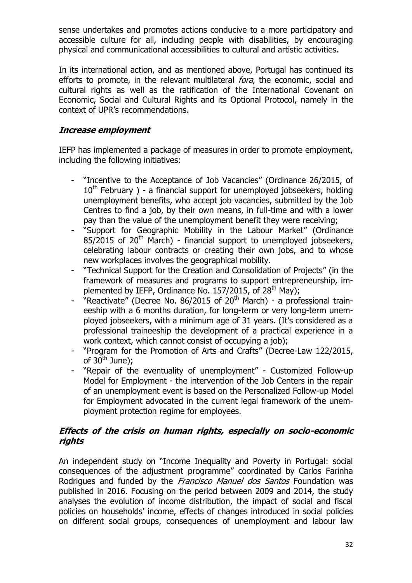sense undertakes and promotes actions conducive to a more participatory and accessible culture for all, including people with disabilities, by encouraging physical and communicational accessibilities to cultural and artistic activities.

In its international action, and as mentioned above, Portugal has continued its efforts to promote, in the relevant multilateral *fora*, the economic, social and cultural rights as well as the ratification of the International Covenant on Economic, Social and Cultural Rights and its Optional Protocol, namely in the context of UPR's recommendations.

#### **Increase employment**

IEFP has implemented a package of measures in order to promote employment, including the following initiatives:

- "Incentive to the Acceptance of Job Vacancies" (Ordinance 26/2015, of  $10<sup>th</sup>$  February ) - a financial support for unemployed jobseekers, holding unemployment benefits, who accept job vacancies, submitted by the Job Centres to find a job, by their own means, in full-time and with a lower pay than the value of the unemployment benefit they were receiving;
- "Support for Geographic Mobility in the Labour Market" (Ordinance  $85/2015$  of  $20<sup>th</sup>$  March) - financial support to unemployed jobseekers, celebrating labour contracts or creating their own jobs, and to whose new workplaces involves the geographical mobility.
- "Technical Support for the Creation and Consolidation of Projects" (in the framework of measures and programs to support entrepreneurship, implemented by IEFP, Ordinance No. 157/2015, of 28<sup>th</sup> May);
- $"Reactive"$  (Decree No. 86/2015 of 20<sup>th</sup> March) a professional traineeship with a 6 months duration, for long-term or very long-term unemployed jobseekers, with a minimum age of 31 years. (It's considered as a professional traineeship the development of a practical experience in a work context, which cannot consist of occupying a job);
- "Program for the Promotion of Arts and Crafts" (Decree-Law 122/2015, of  $30<sup>th</sup>$  June);
- "Repair of the eventuality of unemployment" Customized Follow-up Model for Employment - the intervention of the Job Centers in the repair of an unemployment event is based on the Personalized Follow-up Model for Employment advocated in the current legal framework of the unemployment protection regime for employees.

#### **Effects of the crisis on human rights, especially on socio-economic rights**

An independent study on "Income Inequality and Poverty in Portugal: social consequences of the adjustment programme" coordinated by Carlos Farinha Rodrigues and funded by the *Francisco Manuel dos Santos* Foundation was published in 2016. Focusing on the period between 2009 and 2014, the study analyses the evolution of income distribution, the impact of social and fiscal policies on households' income, effects of changes introduced in social policies on different social groups, consequences of unemployment and labour law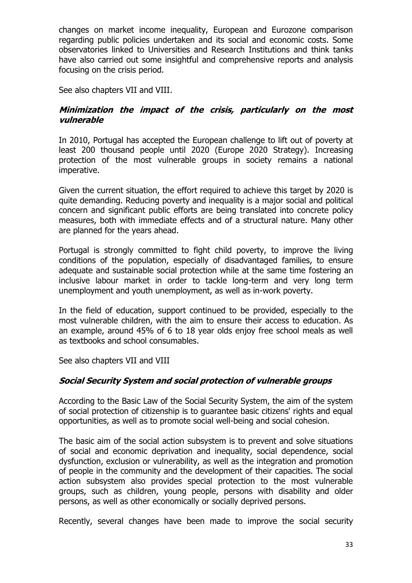changes on market income inequality, European and Eurozone comparison regarding public policies undertaken and its social and economic costs. Some observatories linked to Universities and Research Institutions and think tanks have also carried out some insightful and comprehensive reports and analysis focusing on the crisis period.

See also chapters VII and VIII.

#### **Minimization the impact of the crisis, particularly on the most vulnerable**

In 2010, Portugal has accepted the European challenge to lift out of poverty at least 200 thousand people until 2020 (Europe 2020 Strategy). Increasing protection of the most vulnerable groups in society remains a national imperative.

Given the current situation, the effort required to achieve this target by 2020 is quite demanding. Reducing poverty and inequality is a major social and political concern and significant public efforts are being translated into concrete policy measures, both with immediate effects and of a structural nature. Many other are planned for the years ahead.

Portugal is strongly committed to fight child poverty, to improve the living conditions of the population, especially of disadvantaged families, to ensure adequate and sustainable social protection while at the same time fostering an inclusive labour market in order to tackle long-term and very long term unemployment and youth unemployment, as well as in-work poverty.

In the field of education, support continued to be provided, especially to the most vulnerable children, with the aim to ensure their access to education. As an example, around 45% of 6 to 18 year olds enjoy free school meals as well as textbooks and school consumables.

See also chapters VII and VIII

## **Social Security System and social protection of vulnerable groups**

According to the Basic Law of the Social Security System, the aim of the system of social protection of citizenship is to guarantee basic citizens' rights and equal opportunities, as well as to promote social well-being and social cohesion.

The basic aim of the social action subsystem is to prevent and solve situations of social and economic deprivation and inequality, social dependence, social dysfunction, exclusion or vulnerability, as well as the integration and promotion of people in the community and the development of their capacities. The social action subsystem also provides special protection to the most vulnerable groups, such as children, young people, persons with disability and older persons, as well as other economically or socially deprived persons.

Recently, several changes have been made to improve the social security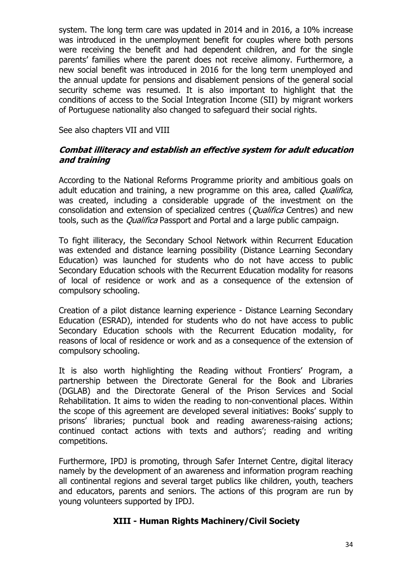system. The long term care was updated in 2014 and in 2016, a 10% increase was introduced in the unemployment benefit for couples where both persons were receiving the benefit and had dependent children, and for the single parents' families where the parent does not receive alimony. Furthermore, a new social benefit was introduced in 2016 for the long term unemployed and the annual update for pensions and disablement pensions of the general social security scheme was resumed. It is also important to highlight that the conditions of access to the Social Integration Income (SII) by migrant workers of Portuguese nationality also changed to safeguard their social rights.

See also chapters VII and VIII

#### **Combat illiteracy and establish an effective system for adult education and training**

According to the National Reforms Programme priority and ambitious goals on adult education and training, a new programme on this area, called *Qualifica*, was created, including a considerable upgrade of the investment on the consolidation and extension of specialized centres (*Qualifica* Centres) and new tools, such as the *Qualifica* Passport and Portal and a large public campaign.

To fight illiteracy, the Secondary School Network within Recurrent Education was extended and distance learning possibility (Distance Learning Secondary Education) was launched for students who do not have access to public Secondary Education schools with the Recurrent Education modality for reasons of local of residence or work and as a consequence of the extension of compulsory schooling.

Creation of a pilot distance learning experience - Distance Learning Secondary Education (ESRAD), intended for students who do not have access to public Secondary Education schools with the Recurrent Education modality, for reasons of local of residence or work and as a consequence of the extension of compulsory schooling.

It is also worth highlighting the Reading without Frontiers' Program, a partnership between the Directorate General for the Book and Libraries (DGLAB) and the Directorate General of the Prison Services and Social Rehabilitation. It aims to widen the reading to non-conventional places. Within the scope of this agreement are developed several initiatives: Books' supply to prisons' libraries; punctual book and reading awareness-raising actions; continued contact actions with texts and authors'; reading and writing competitions.

Furthermore, IPDJ is promoting, through Safer Internet Centre, digital literacy namely by the development of an awareness and information program reaching all continental regions and several target publics like children, youth, teachers and educators, parents and seniors. The actions of this program are run by young volunteers supported by IPDJ.

#### **XIII - Human Rights Machinery/Civil Society**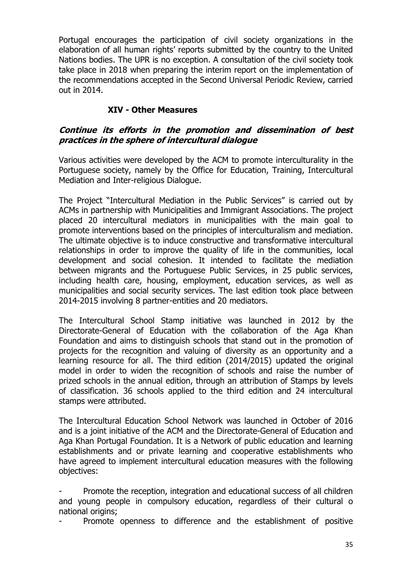Portugal encourages the participation of civil society organizations in the elaboration of all human rights' reports submitted by the country to the United Nations bodies. The UPR is no exception. A consultation of the civil society took take place in 2018 when preparing the interim report on the implementation of the recommendations accepted in the Second Universal Periodic Review, carried out in 2014.

## **XIV - Other Measures**

#### **Continue its efforts in the promotion and dissemination of best practices in the sphere of intercultural dialogue**

Various activities were developed by the ACM to promote interculturality in the Portuguese society, namely by the Office for Education, Training, Intercultural Mediation and Inter-religious Dialogue.

The Project "Intercultural Mediation in the Public Services" is carried out by ACMs in partnership with Municipalities and Immigrant Associations. The project placed 20 intercultural mediators in municipalities with the main goal to promote interventions based on the principles of interculturalism and mediation. The ultimate objective is to induce constructive and transformative intercultural relationships in order to improve the quality of life in the communities, local development and social cohesion. It intended to facilitate the mediation between migrants and the Portuguese Public Services, in 25 public services, including health care, housing, employment, education services, as well as municipalities and social security services. The last edition took place between 2014-2015 involving 8 partner-entities and 20 mediators.

The Intercultural School Stamp initiative was launched in 2012 by the Directorate-General of Education with the collaboration of the Aga Khan Foundation and aims to distinguish schools that stand out in the promotion of projects for the recognition and valuing of diversity as an opportunity and a learning resource for all. The third edition (2014/2015) updated the original model in order to widen the recognition of schools and raise the number of prized schools in the annual edition, through an attribution of Stamps by levels of classification. 36 schools applied to the third edition and 24 intercultural stamps were attributed.

The Intercultural Education School Network was launched in October of 2016 and is a joint initiative of the ACM and the Directorate-General of Education and Aga Khan Portugal Foundation. It is a Network of public education and learning establishments and or private learning and cooperative establishments who have agreed to implement intercultural education measures with the following objectives:

Promote the reception, integration and educational success of all children and young people in compulsory education, regardless of their cultural o national origins;

Promote openness to difference and the establishment of positive